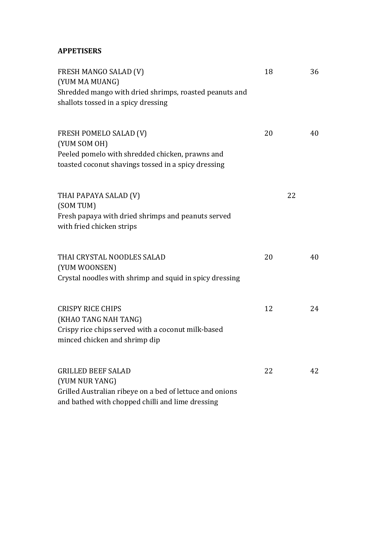### **APPETISERS**

| FRESH MANGO SALAD (V)<br>(YUM MA MUANG)<br>Shredded mango with dried shrimps, roasted peanuts and<br>shallots tossed in a spicy dressing                    | 18 |    | 36 |
|-------------------------------------------------------------------------------------------------------------------------------------------------------------|----|----|----|
| <b>FRESH POMELO SALAD (V)</b><br>(YUM SOM OH)<br>Peeled pomelo with shredded chicken, prawns and<br>toasted coconut shavings tossed in a spicy dressing     | 20 |    | 40 |
| THAI PAPAYA SALAD (V)<br>(SOM TUM)<br>Fresh papaya with dried shrimps and peanuts served<br>with fried chicken strips                                       |    | 22 |    |
| THAI CRYSTAL NOODLES SALAD<br>(YUM WOONSEN)<br>Crystal noodles with shrimp and squid in spicy dressing                                                      | 20 |    | 40 |
| <b>CRISPY RICE CHIPS</b><br>(KHAO TANG NAH TANG)<br>Crispy rice chips served with a coconut milk-based<br>minced chicken and shrimp dip                     | 12 |    | 24 |
| <b>GRILLED BEEF SALAD</b><br>(YUM NUR YANG)<br>Grilled Australian ribeye on a bed of lettuce and onions<br>and bathed with chopped chilli and lime dressing | 22 |    | 42 |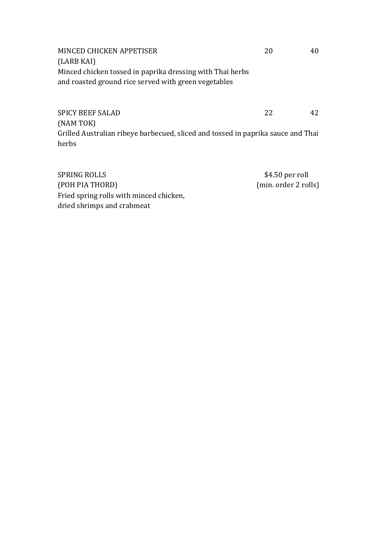| MINCED CHICKEN APPETISER                                  | 20 | 40 |
|-----------------------------------------------------------|----|----|
| (LARB KAI)                                                |    |    |
| Minced chicken tossed in paprika dressing with Thai herbs |    |    |
| and roasted ground rice served with green vegetables      |    |    |
|                                                           |    |    |

SPICY BEEF SALAD 22 42 (NAM TOK) Grilled Australian ribeye barbecued, sliced and tossed in paprika sauce and Thai herbs

SPRING ROLLS \$4.50 per roll (POH PIA THORD) (min. order 2 rolls) Fried spring rolls with minced chicken, dried shrimps and crabmeat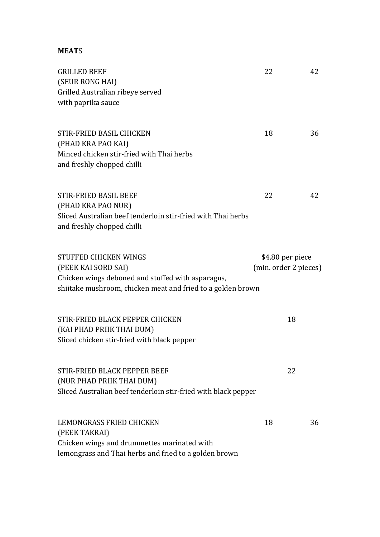### **MEAT**S

| <b>GRILLED BEEF</b>                                                                                                                                              | 22                                        | 42 |
|------------------------------------------------------------------------------------------------------------------------------------------------------------------|-------------------------------------------|----|
| (SEUR RONG HAI)<br>Grilled Australian ribeye served<br>with paprika sauce                                                                                        |                                           |    |
| STIR-FRIED BASIL CHICKEN<br>(PHAD KRA PAO KAI)<br>Minced chicken stir-fried with Thai herbs<br>and freshly chopped chilli                                        | 18                                        | 36 |
| <b>STIR-FRIED BASIL BEEF</b><br>(PHAD KRA PAO NUR)<br>Sliced Australian beef tenderloin stir-fried with Thai herbs<br>and freshly chopped chilli                 | 22                                        | 42 |
| STUFFED CHICKEN WINGS<br>(PEEK KAI SORD SAI)<br>Chicken wings deboned and stuffed with asparagus,<br>shiitake mushroom, chicken meat and fried to a golden brown | \$4.80 per piece<br>(min. order 2 pieces) |    |
| STIR-FRIED BLACK PEPPER CHICKEN<br>(KAI PHAD PRIIK THAI DUM)<br>Sliced chicken stir-fried with black pepper                                                      |                                           | 18 |
| STIR-FRIED BLACK PEPPER BEEF<br>(NUR PHAD PRIIK THAI DUM)<br>Sliced Australian beef tenderloin stir-fried with black pepper                                      |                                           | 22 |
| LEMONGRASS FRIED CHICKEN<br>(PEEK TAKRAI)<br>Chicken wings and drummettes marinated with<br>lemongrass and Thai herbs and fried to a golden brown                | 18                                        | 36 |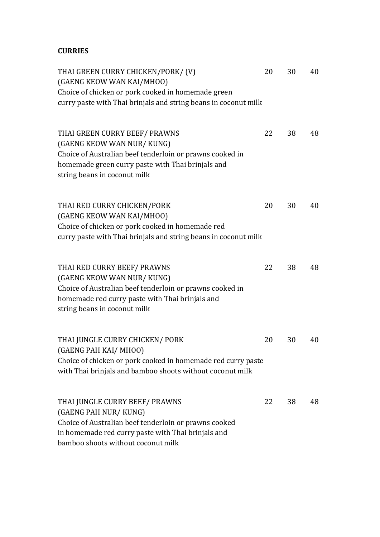## **CURRIES**

| THAI GREEN CURRY CHICKEN/PORK/ (V)<br>(GAENG KEOW WAN KAI/MHOO)<br>Choice of chicken or pork cooked in homemade green                                                                                       | 20 | 30 | 40 |
|-------------------------------------------------------------------------------------------------------------------------------------------------------------------------------------------------------------|----|----|----|
| curry paste with Thai brinjals and string beans in coconut milk                                                                                                                                             |    |    |    |
| THAI GREEN CURRY BEEF/ PRAWNS<br>(GAENG KEOW WAN NUR/KUNG)<br>Choice of Australian beef tenderloin or prawns cooked in<br>homemade green curry paste with Thai brinjals and<br>string beans in coconut milk | 22 | 38 | 48 |
| THAI RED CURRY CHICKEN/PORK<br>(GAENG KEOW WAN KAI/MHOO)<br>Choice of chicken or pork cooked in homemade red<br>curry paste with Thai brinjals and string beans in coconut milk                             | 20 | 30 | 40 |
| THAI RED CURRY BEEF/ PRAWNS<br>(GAENG KEOW WAN NUR/KUNG)<br>Choice of Australian beef tenderloin or prawns cooked in<br>homemade red curry paste with Thai brinjals and<br>string beans in coconut milk     | 22 | 38 | 48 |
| THAI JUNGLE CURRY CHICKEN/ PORK<br>(GAENG PAH KAI/MHOO)<br>Choice of chicken or pork cooked in homemade red curry paste<br>with Thai brinjals and bamboo shoots without coconut milk                        | 20 | 30 | 40 |
| THAI JUNGLE CURRY BEEF/ PRAWNS<br>(GAENG PAH NUR/KUNG)<br>Choice of Australian beef tenderloin or prawns cooked<br>in homemade red curry paste with Thai brinjals and<br>bamboo shoots without coconut milk | 22 | 38 | 48 |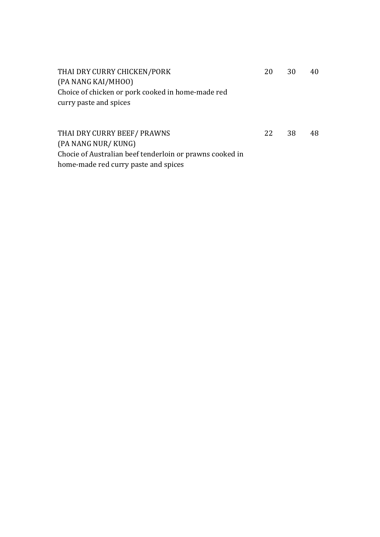| THAI DRY CURRY CHICKEN/PORK                              | 20 | 30 | 40 |
|----------------------------------------------------------|----|----|----|
| (PA NANG KAI/MHOO)                                       |    |    |    |
| Choice of chicken or pork cooked in home-made red        |    |    |    |
| curry paste and spices                                   |    |    |    |
|                                                          |    |    |    |
|                                                          |    |    |    |
| THAI DRY CURRY BEEF/ PRAWNS                              | 22 | 38 | 48 |
| (PA NANG NUR/KUNG)                                       |    |    |    |
| Chocie of Australian beef tenderloin or prawns cooked in |    |    |    |
| home-made red curry paste and spices                     |    |    |    |
|                                                          |    |    |    |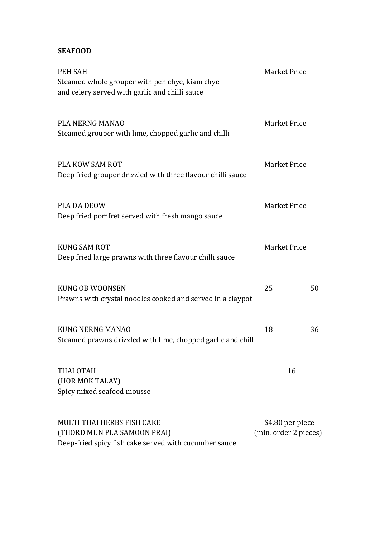## **SEAFOOD**

| PEH SAH<br>Steamed whole grouper with peh chye, kiam chye<br>and celery served with garlic and chilli sauce               | Market Price                              |    |
|---------------------------------------------------------------------------------------------------------------------------|-------------------------------------------|----|
| PLA NERNG MANAO<br>Steamed grouper with lime, chopped garlic and chilli                                                   | <b>Market Price</b>                       |    |
| <b>PLA KOW SAM ROT</b><br>Deep fried grouper drizzled with three flavour chilli sauce                                     | <b>Market Price</b>                       |    |
| <b>PLA DA DEOW</b><br>Deep fried pomfret served with fresh mango sauce                                                    | <b>Market Price</b>                       |    |
| <b>KUNG SAM ROT</b><br>Deep fried large prawns with three flavour chilli sauce                                            | Market Price                              |    |
| <b>KUNG OB WOONSEN</b><br>Prawns with crystal noodles cooked and served in a claypot                                      | 25                                        | 50 |
| <b>KUNG NERNG MANAO</b><br>Steamed prawns drizzled with lime, chopped garlic and chilli                                   | 18                                        | 36 |
| THAI OTAH<br>(HOR MOK TALAY)<br>Spicy mixed seafood mousse                                                                | 16                                        |    |
| <b>MULTI THAI HERBS FISH CAKE</b><br>(THORD MUN PLA SAMOON PRAI)<br>Deep-fried spicy fish cake served with cucumber sauce | \$4.80 per piece<br>(min. order 2 pieces) |    |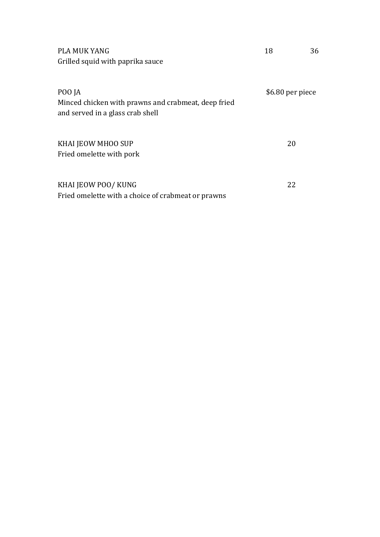| <b>PLA MUK YANG</b><br>Grilled squid with paprika sauce                                           | 18               | 36 |
|---------------------------------------------------------------------------------------------------|------------------|----|
| POO JA<br>Minced chicken with prawns and crabmeat, deep fried<br>and served in a glass crab shell | \$6.80 per piece |    |
| KHAI JEOW MHOO SUP<br>Fried omelette with pork                                                    | 20               |    |
| KHAI JEOW POO/ KUNG<br>Fried omelette with a choice of crabmeat or prawns                         | 22               |    |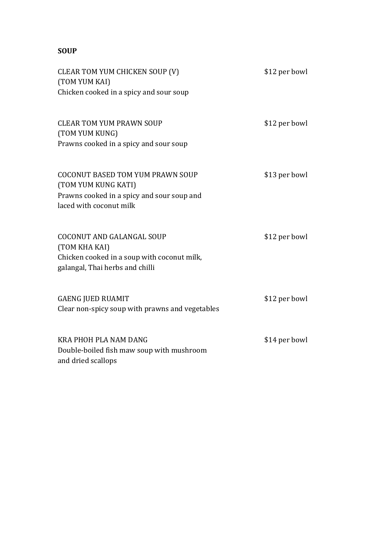# **SOUP**

| CLEAR TOM YUM CHICKEN SOUP (V)<br>(TOM YUM KAI)<br>Chicken cooked in a spicy and sour soup                                              | \$12 per bowl |
|-----------------------------------------------------------------------------------------------------------------------------------------|---------------|
| <b>CLEAR TOM YUM PRAWN SOUP</b><br>(TOM YUM KUNG)<br>Prawns cooked in a spicy and sour soup                                             | \$12 per bowl |
| <b>COCONUT BASED TOM YUM PRAWN SOUP</b><br>(TOM YUM KUNG KATI)<br>Prawns cooked in a spicy and sour soup and<br>laced with coconut milk | \$13 per bowl |
| <b>COCONUT AND GALANGAL SOUP</b><br>(TOM KHA KAI)<br>Chicken cooked in a soup with coconut milk,<br>galangal, Thai herbs and chilli     | \$12 per bowl |
| <b>GAENG JUED RUAMIT</b><br>Clear non-spicy soup with prawns and vegetables                                                             | \$12 per bowl |
| KRA PHOH PLA NAM DANG<br>Double-boiled fish maw soup with mushroom<br>and dried scallops                                                | \$14 per bowl |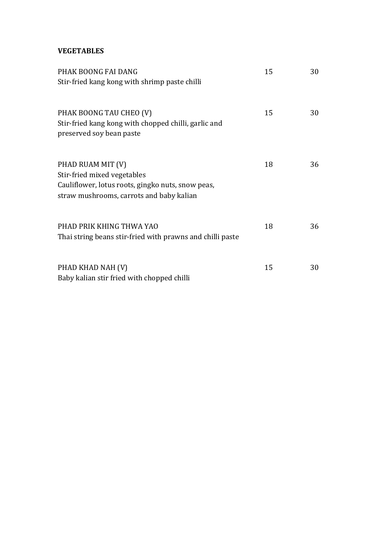### **VEGETABLES**

| PHAK BOONG FAI DANG                                                                                                                               | 15 | 30 |
|---------------------------------------------------------------------------------------------------------------------------------------------------|----|----|
| Stir-fried kang kong with shrimp paste chilli                                                                                                     |    |    |
| PHAK BOONG TAU CHEO (V)<br>Stir-fried kang kong with chopped chilli, garlic and<br>preserved soy bean paste                                       | 15 | 30 |
| PHAD RUAM MIT (V)<br>Stir-fried mixed vegetables<br>Cauliflower, lotus roots, gingko nuts, snow peas,<br>straw mushrooms, carrots and baby kalian | 18 | 36 |
| PHAD PRIK KHING THWA YAO<br>Thai string beans stir-fried with prawns and chilli paste                                                             | 18 | 36 |
| PHAD KHAD NAH (V)<br>Baby kalian stir fried with chopped chilli                                                                                   | 15 | 30 |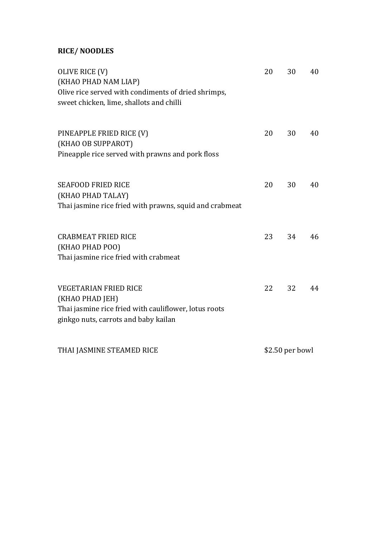# **RICE/ NOODLES**

| OLIVE RICE (V)<br>(KHAO PHAD NAM LIAP)<br>Olive rice served with condiments of dried shrimps,<br>sweet chicken, lime, shallots and chilli        | 20 | 30              | 40 |
|--------------------------------------------------------------------------------------------------------------------------------------------------|----|-----------------|----|
| PINEAPPLE FRIED RICE (V)<br>(KHAO OB SUPPAROT)<br>Pineapple rice served with prawns and pork floss                                               | 20 | 30              | 40 |
| <b>SEAFOOD FRIED RICE</b><br>(KHAO PHAD TALAY)<br>Thai jasmine rice fried with prawns, squid and crabmeat                                        | 20 | 30              | 40 |
| <b>CRABMEAT FRIED RICE</b><br>(KHAO PHAD POO)<br>Thai jasmine rice fried with crabmeat                                                           | 23 | 34              | 46 |
| <b>VEGETARIAN FRIED RICE</b><br>(KHAO PHAD JEH)<br>Thai jasmine rice fried with cauliflower, lotus roots<br>ginkgo nuts, carrots and baby kailan | 22 | 32              | 44 |
| THAI JASMINE STEAMED RICE                                                                                                                        |    | \$2.50 per bowl |    |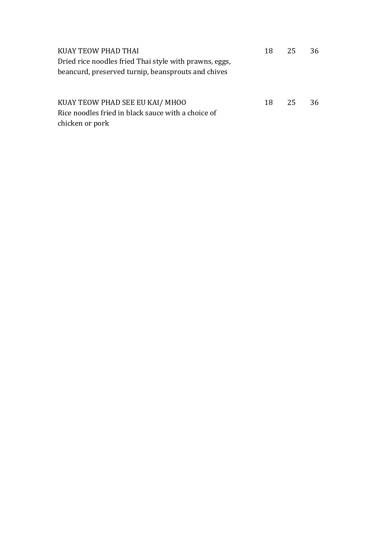| KUAY TEOW PHAD THAI                                    |    | 18 25 | 36  |
|--------------------------------------------------------|----|-------|-----|
| Dried rice noodles fried Thai style with prawns, eggs, |    |       |     |
| beancurd, preserved turnip, beansprouts and chives     |    |       |     |
|                                                        |    |       |     |
|                                                        |    |       |     |
| KUAY TEOW PHAD SEE EU KAI/MHOO                         | 18 | 25    | -36 |
| Rice noodles fried in black sauce with a choice of     |    |       |     |
| chicken or pork                                        |    |       |     |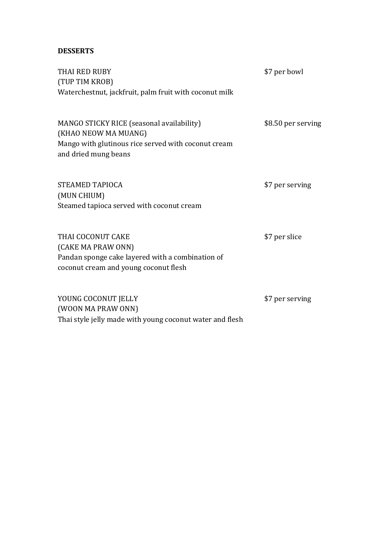### **DESSERTS**

| THAI RED RUBY<br>(TUP TIM KROB)                                                                                                      | \$7 per bowl       |
|--------------------------------------------------------------------------------------------------------------------------------------|--------------------|
| Waterchestnut, jackfruit, palm fruit with coconut milk                                                                               |                    |
| MANGO STICKY RICE (seasonal availability)<br>(KHAO NEOW MA MUANG)                                                                    | \$8.50 per serving |
| Mango with glutinous rice served with coconut cream<br>and dried mung beans                                                          |                    |
| <b>STEAMED TAPIOCA</b>                                                                                                               | \$7 per serving    |
| (MUN CHIUM)<br>Steamed tapioca served with coconut cream                                                                             |                    |
| THAI COCONUT CAKE<br>(CAKE MA PRAW ONN)<br>Pandan sponge cake layered with a combination of<br>coconut cream and young coconut flesh | \$7 per slice      |
| YOUNG COCONUT JELLY<br>(WOON MA PRAW ONN)                                                                                            | \$7 per serving    |

(WOON MA PRAW ONN) Thai style jelly made with young coconut water and flesh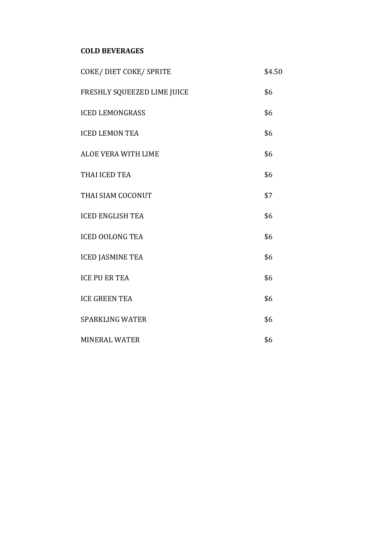### **COLD BEVERAGES**

| COKE/DIET COKE/SPRITE       | \$4.50 |
|-----------------------------|--------|
| FRESHLY SQUEEZED LIME JUICE | \$6    |
| <b>ICED LEMONGRASS</b>      | \$6    |
| <b>ICED LEMON TEA</b>       | \$6    |
| ALOE VERA WITH LIME         | \$6    |
| THAI ICED TEA               | \$6    |
| THAI SIAM COCONUT           | \$7    |
| <b>ICED ENGLISH TEA</b>     | \$6    |
| <b>ICED OOLONG TEA</b>      | \$6    |
| <b>ICED JASMINE TEA</b>     | \$6    |
| <b>ICE PU ER TEA</b>        | \$6    |
| <b>ICE GREEN TEA</b>        | \$6    |
| <b>SPARKLING WATER</b>      | \$6    |
| <b>MINERAL WATER</b>        | \$6    |